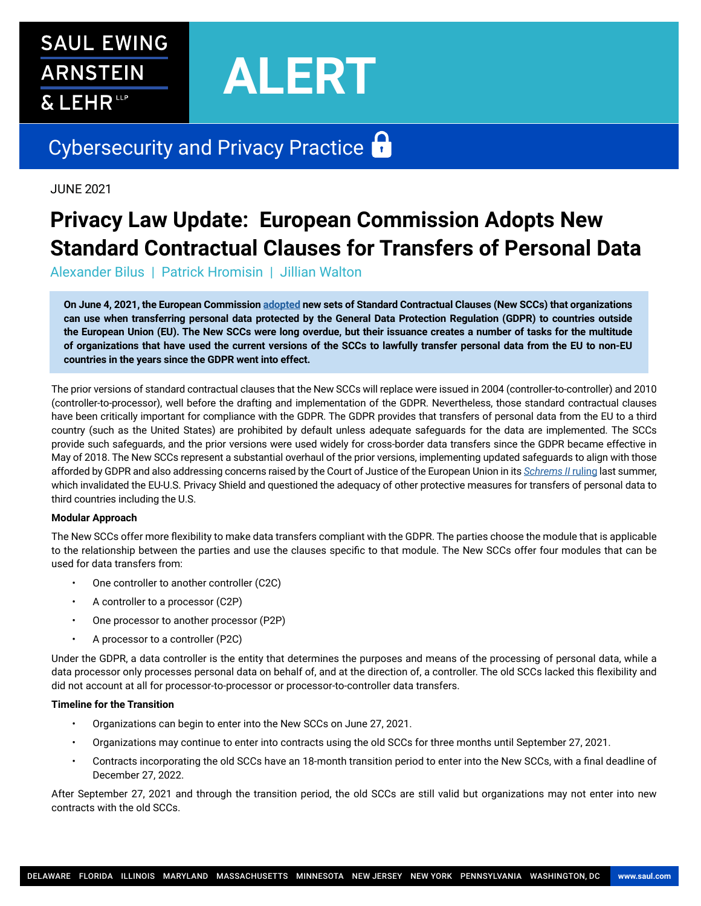# **SAUL EWING ARNSTEIN** & LEHR<sup>te</sup>

# **ALERT**

# Cybersecurity and Privacy Practice

JUNE 2021

## **Privacy Law Update: European Commission Adopts New Standard Contractual Clauses for Transfers of Personal Data**

Alexander Bilus | Patrick Hromisin | Jillian Walton

**On June 4, 2021, the European Commission [adopted](https://ec.europa.eu/commission/presscorner/detail/en/ip_21_2847) new sets of Standard Contractual Clauses (New SCCs) that organizations can use when transferring personal data protected by the General Data Protection Regulation (GDPR) to countries outside the European Union (EU). The New SCCs were long overdue, but their issuance creates a number of tasks for the multitude of organizations that have used the current versions of the SCCs to lawfully transfer personal data from the EU to non-EU countries in the years since the GDPR went into effect.** 

The prior versions of standard contractual clauses that the New SCCs will replace were issued in 2004 (controller-to-controller) and 2010 (controller-to-processor), well before the drafting and implementation of the GDPR. Nevertheless, those standard contractual clauses have been critically important for compliance with the GDPR. The GDPR provides that transfers of personal data from the EU to a third country (such as the United States) are prohibited by default unless adequate safeguards for the data are implemented. The SCCs provide such safeguards, and the prior versions were used widely for cross-border data transfers since the GDPR became effective in May of 2018. The New SCCs represent a substantial overhaul of the prior versions, implementing updated safeguards to align with those afforded by GDPR and also addressing concerns raised by the Court of Justice of the European Union in its *[Schrems II](https://www.saul.com/publications/alerts/european-court-justice-invalidates-privacy-shield-holds-standard-data-protection-clauses-be-valid)* ruling last summer, which invalidated the EU-U.S. Privacy Shield and questioned the adequacy of other protective measures for transfers of personal data to third countries including the U.S.

#### **Modular Approach**

The New SCCs offer more flexibility to make data transfers compliant with the GDPR. The parties choose the module that is applicable to the relationship between the parties and use the clauses specific to that module. The New SCCs offer four modules that can be used for data transfers from:

- One controller to another controller (C2C)
- A controller to a processor (C2P)
- One processor to another processor (P2P)
- A processor to a controller (P2C)

Under the GDPR, a data controller is the entity that determines the purposes and means of the processing of personal data, while a data processor only processes personal data on behalf of, and at the direction of, a controller. The old SCCs lacked this flexibility and did not account at all for processor-to-processor or processor-to-controller data transfers.

#### **Timeline for the Transition**

- Organizations can begin to enter into the New SCCs on June 27, 2021.
- Organizations may continue to enter into contracts using the old SCCs for three months until September 27, 2021.
- Contracts incorporating the old SCCs have an 18-month transition period to enter into the New SCCs, with a final deadline of December 27, 2022.

After September 27, 2021 and through the transition period, the old SCCs are still valid but organizations may not enter into new contracts with the old SCCs.